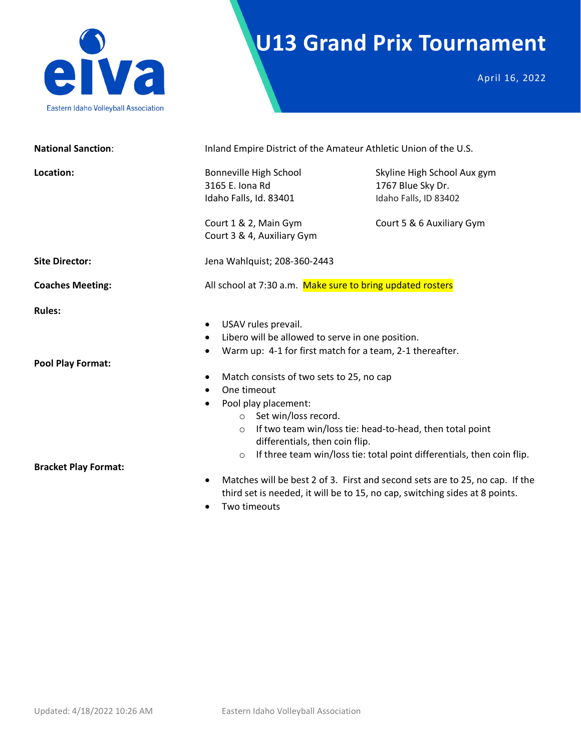

# **U13 Grand Prix Tournament**

April 16, 2022

| <b>National Sanction:</b>                                         | Inland Empire District of the Amateur Athletic Union of the U.S.                                                                                                                                                                                                                                                                                                                                                                                                                                                          |                                                                                                        |  |  |
|-------------------------------------------------------------------|---------------------------------------------------------------------------------------------------------------------------------------------------------------------------------------------------------------------------------------------------------------------------------------------------------------------------------------------------------------------------------------------------------------------------------------------------------------------------------------------------------------------------|--------------------------------------------------------------------------------------------------------|--|--|
| Location:                                                         | Bonneville High School<br>3165 E. Iona Rd<br>Idaho Falls, Id. 83401<br>Court 1 & 2, Main Gym<br>Court 3 & 4, Auxiliary Gym                                                                                                                                                                                                                                                                                                                                                                                                | Skyline High School Aux gym<br>1767 Blue Sky Dr.<br>Idaho Falls, ID 83402<br>Court 5 & 6 Auxiliary Gym |  |  |
| <b>Site Director:</b>                                             | Jena Wahlquist; 208-360-2443                                                                                                                                                                                                                                                                                                                                                                                                                                                                                              |                                                                                                        |  |  |
| <b>Coaches Meeting:</b>                                           | All school at 7:30 a.m. Make sure to bring updated rosters                                                                                                                                                                                                                                                                                                                                                                                                                                                                |                                                                                                        |  |  |
| <b>Rules:</b><br>Pool Play Format:<br><b>Bracket Play Format:</b> | USAV rules prevail.<br>$\bullet$<br>Libero will be allowed to serve in one position.<br>$\bullet$<br>Warm up: 4-1 for first match for a team, 2-1 thereafter.<br>Match consists of two sets to 25, no cap<br>$\bullet$<br>One timeout<br>$\bullet$<br>Pool play placement:<br>$\bullet$<br>Set win/loss record.<br>$\Omega$<br>If two team win/loss tie: head-to-head, then total point<br>$\circ$<br>differentials, then coin flip.<br>If three team win/loss tie: total point differentials, then coin flip.<br>$\circ$ |                                                                                                        |  |  |
|                                                                   | $\bullet$<br>third set is needed, it will be to 15, no cap, switching sides at 8 points.<br>Two timeouts<br>$\bullet$                                                                                                                                                                                                                                                                                                                                                                                                     | Matches will be best 2 of 3. First and second sets are to 25, no cap. If the                           |  |  |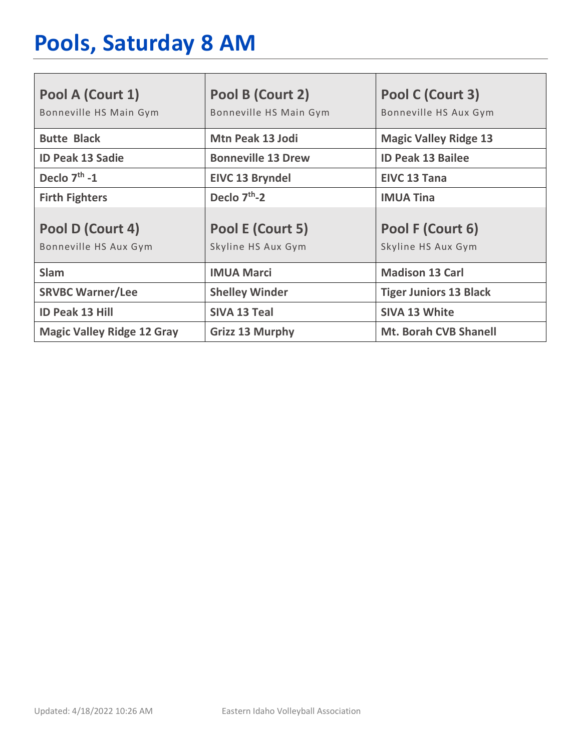# **Pools, Saturday 8 AM**

| Pool A (Court 1)<br>Bonneville HS Main Gym | Pool B (Court 2)<br>Bonneville HS Main Gym | Pool C (Court 3)<br>Bonneville HS Aux Gym |
|--------------------------------------------|--------------------------------------------|-------------------------------------------|
| <b>Butte Black</b>                         | <b>Mtn Peak 13 Jodi</b>                    | <b>Magic Valley Ridge 13</b>              |
| <b>ID Peak 13 Sadie</b>                    | <b>Bonneville 13 Drew</b>                  | <b>ID Peak 13 Bailee</b>                  |
| Declo $7th - 1$                            | <b>EIVC 13 Bryndel</b>                     | <b>EIVC 13 Tana</b>                       |
| <b>Firth Fighters</b>                      | Declo $7th - 2$                            | <b>IMUA Tina</b>                          |
| Pool D (Court 4)<br>Bonneville HS Aux Gym  | Pool E (Court 5)<br>Skyline HS Aux Gym     | Pool F (Court 6)<br>Skyline HS Aux Gym    |
| <b>Slam</b>                                | <b>IMUA Marci</b>                          | <b>Madison 13 Carl</b>                    |
| <b>SRVBC Warner/Lee</b>                    | <b>Shelley Winder</b>                      | <b>Tiger Juniors 13 Black</b>             |
| <b>ID Peak 13 Hill</b>                     | <b>SIVA 13 Teal</b>                        | <b>SIVA 13 White</b>                      |
| <b>Magic Valley Ridge 12 Gray</b>          | <b>Grizz 13 Murphy</b>                     | <b>Mt. Borah CVB Shanell</b>              |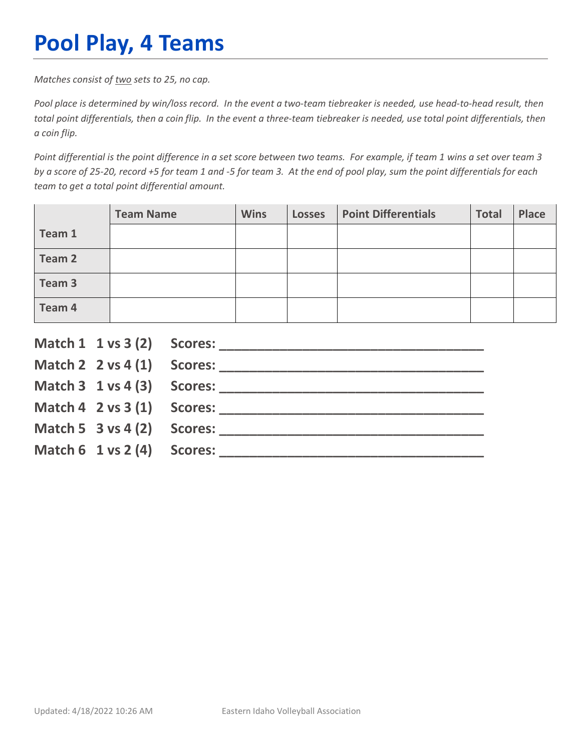# **Pool Play, 4 Teams**

*Matches consist of two sets to 25, no cap.*

*Pool place is determined by win/loss record. In the event a two-team tiebreaker is needed, use head-to-head result, then total point differentials, then a coin flip. In the event a three-team tiebreaker is needed, use total point differentials, then a coin flip.*

*Point differential is the point difference in a set score between two teams. For example, if team 1 wins a set over team 3 by a score of 25-20, record +5 for team 1 and -5 for team 3. At the end of pool play, sum the point differentials for each team to get a total point differential amount.* 

|        | <b>Team Name</b> | <b>Wins</b> | <b>Losses</b> | <b>Point Differentials</b> | <b>Total</b> | <b>Place</b> |
|--------|------------------|-------------|---------------|----------------------------|--------------|--------------|
| Team 1 |                  |             |               |                            |              |              |
| Team 2 |                  |             |               |                            |              |              |
| Team 3 |                  |             |               |                            |              |              |
| Team 4 |                  |             |               |                            |              |              |

|                                        | Match $2 \times 4(1)$ Scores:              |
|----------------------------------------|--------------------------------------------|
|                                        |                                            |
|                                        | Match $4 \quad 2 \text{ vs } 3(1)$ Scores: |
| Match 5 $3$ vs 4 (2) Scores:           |                                            |
| Match $6 \t1 \text{ vs } 2(4)$ Scores: |                                            |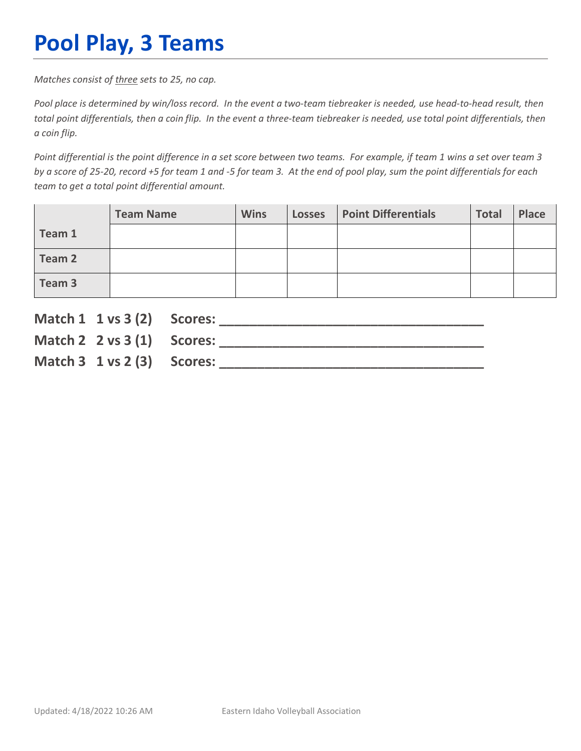# **Pool Play, 3 Teams**

*Matches consist of three sets to 25, no cap.*

*Pool place is determined by win/loss record. In the event a two-team tiebreaker is needed, use head-to-head result, then total point differentials, then a coin flip. In the event a three-team tiebreaker is needed, use total point differentials, then a coin flip.*

*Point differential is the point difference in a set score between two teams. For example, if team 1 wins a set over team 3 by a score of 25-20, record +5 for team 1 and -5 for team 3. At the end of pool play, sum the point differentials for each team to get a total point differential amount.* 

|        | <b>Team Name</b> | <b>Wins</b> | <b>Losses</b> | <b>Point Differentials</b> | <b>Total</b> | Place |
|--------|------------------|-------------|---------------|----------------------------|--------------|-------|
| Team 1 |                  |             |               |                            |              |       |
| Team 2 |                  |             |               |                            |              |       |
| Team 3 |                  |             |               |                            |              |       |

| Match 1 1 vs 3 (2) Scores:               |                               |
|------------------------------------------|-------------------------------|
|                                          | Match $2 \times 3(1)$ Scores: |
| Match $3 \t1 \text{ vs } 2 \t3)$ Scores: |                               |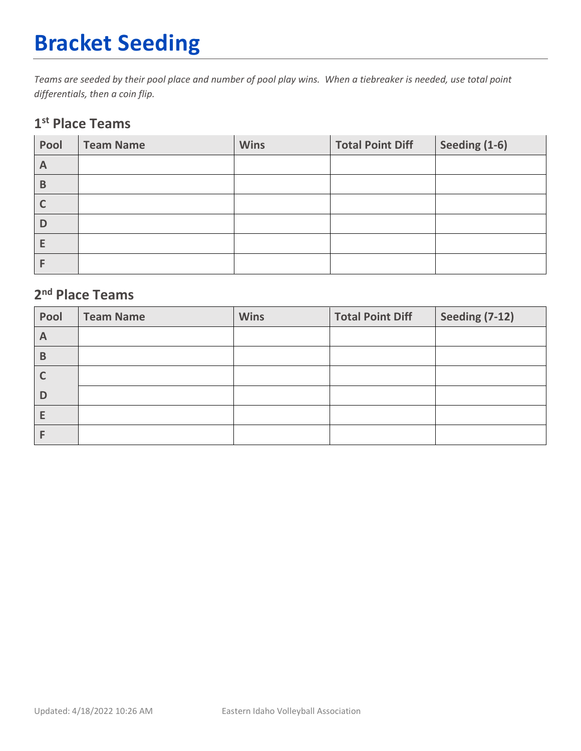# **Bracket Seeding**

*Teams are seeded by their pool place and number of pool play wins. When a tiebreaker is needed, use total point differentials, then a coin flip.*

#### **1st Place Teams**

| Pool | <b>Team Name</b> | <b>Wins</b> | <b>Total Point Diff</b> | Seeding (1-6) |
|------|------------------|-------------|-------------------------|---------------|
| A    |                  |             |                         |               |
| B    |                  |             |                         |               |
|      |                  |             |                         |               |
| D    |                  |             |                         |               |
| Е    |                  |             |                         |               |
|      |                  |             |                         |               |

### **2nd Place Teams**

| Pool | <b>Team Name</b> | <b>Wins</b> | <b>Total Point Diff</b> | <b>Seeding (7-12)</b> |
|------|------------------|-------------|-------------------------|-----------------------|
| A    |                  |             |                         |                       |
| B    |                  |             |                         |                       |
|      |                  |             |                         |                       |
| D    |                  |             |                         |                       |
| E    |                  |             |                         |                       |
|      |                  |             |                         |                       |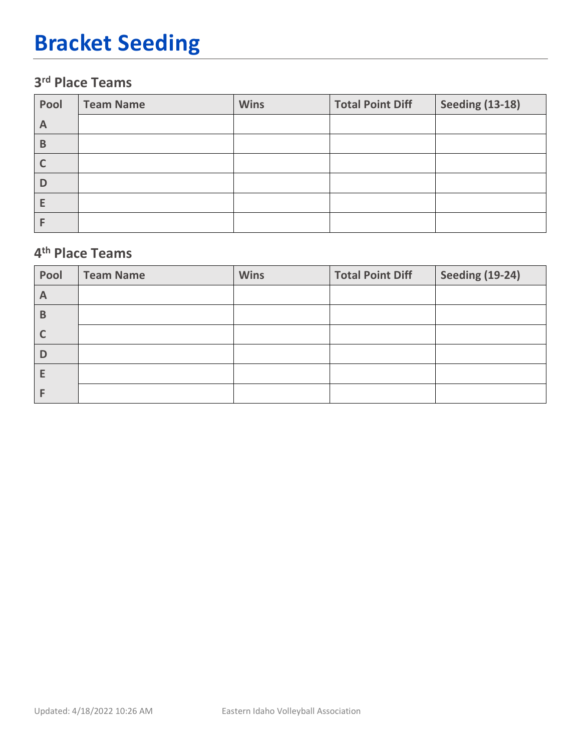# **Bracket Seeding**

### **3rd Place Teams**

| Pool | <b>Team Name</b> | <b>Wins</b> | <b>Total Point Diff</b> | <b>Seeding (13-18)</b> |
|------|------------------|-------------|-------------------------|------------------------|
| A    |                  |             |                         |                        |
| B    |                  |             |                         |                        |
|      |                  |             |                         |                        |
| D    |                  |             |                         |                        |
|      |                  |             |                         |                        |
|      |                  |             |                         |                        |

#### **4th Place Teams**

| Pool         | <b>Team Name</b> | <b>Wins</b> | <b>Total Point Diff</b> | <b>Seeding (19-24)</b> |
|--------------|------------------|-------------|-------------------------|------------------------|
| $\mathsf{A}$ |                  |             |                         |                        |
| B            |                  |             |                         |                        |
|              |                  |             |                         |                        |
| D            |                  |             |                         |                        |
|              |                  |             |                         |                        |
|              |                  |             |                         |                        |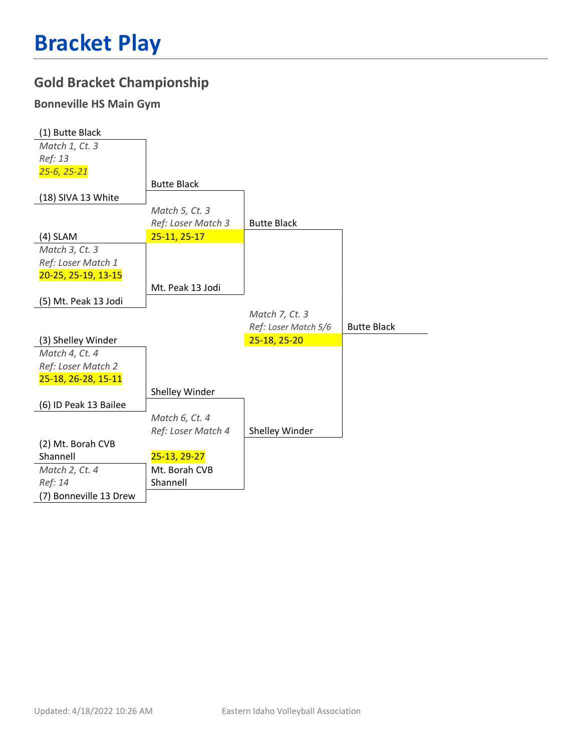### **Gold Bracket Championship**

#### **Bonneville HS Main Gym**

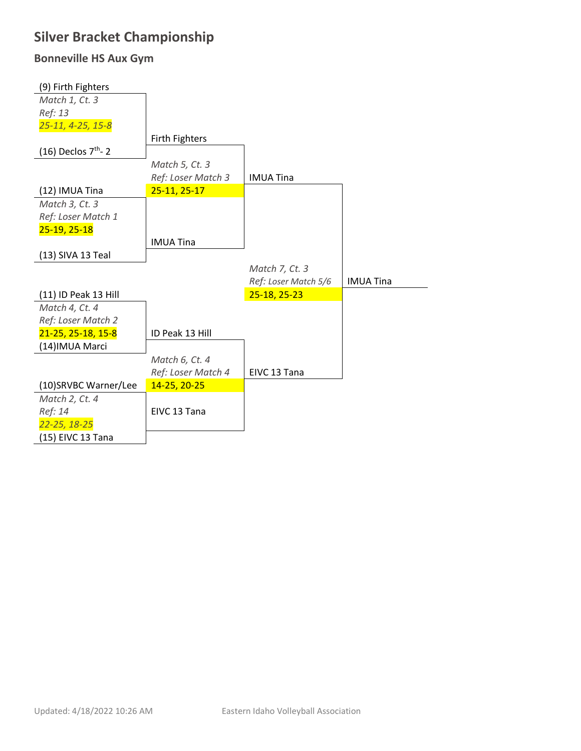### **Silver Bracket Championship**

### **Bonneville HS Aux Gym**

| (9) Firth Fighters                |                    |                      |                  |
|-----------------------------------|--------------------|----------------------|------------------|
| Match 1, Ct. 3                    |                    |                      |                  |
| Ref: 13                           |                    |                      |                  |
| 25-11, 4-25, 15-8                 |                    |                      |                  |
|                                   | Firth Fighters     |                      |                  |
| $(16)$ Declos $7th$ - 2           |                    |                      |                  |
|                                   | Match 5, Ct. 3     |                      |                  |
|                                   | Ref: Loser Match 3 | <b>IMUA Tina</b>     |                  |
| (12) IMUA Tina                    | $25 - 11, 25 - 17$ |                      |                  |
| Match 3, Ct. 3                    |                    |                      |                  |
| Ref: Loser Match 1                |                    |                      |                  |
| 25-19, 25-18                      |                    |                      |                  |
|                                   | <b>IMUA Tina</b>   |                      |                  |
| (13) SIVA 13 Teal                 |                    |                      |                  |
|                                   |                    |                      |                  |
|                                   |                    | Match 7, Ct. 3       |                  |
|                                   |                    | Ref: Loser Match 5/6 | <b>IMUA Tina</b> |
| (11) ID Peak 13 Hill              |                    | 25-18, 25-23         |                  |
| Match 4, Ct. 4                    |                    |                      |                  |
| Ref: Loser Match 2                |                    |                      |                  |
| 21-25, 25-18, 15-8                | ID Peak 13 Hill    |                      |                  |
| (14) IMUA Marci                   |                    |                      |                  |
|                                   | Match 6, Ct. 4     |                      |                  |
|                                   | Ref: Loser Match 4 | EIVC 13 Tana         |                  |
| (10)SRVBC Warner/Lee              | 14-25, 20-25       |                      |                  |
| Match 2, Ct. 4                    |                    |                      |                  |
| Ref: 14                           | EIVC 13 Tana       |                      |                  |
| 22-25, 18-25<br>(15) EIVC 13 Tana |                    |                      |                  |